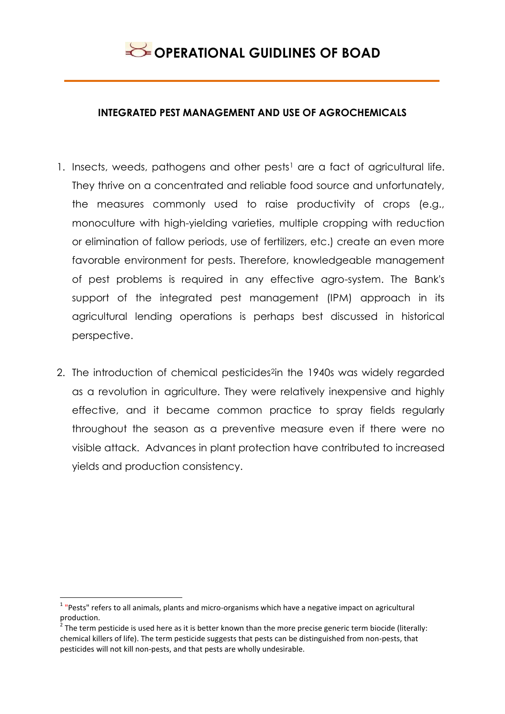### **INTEGRATED PEST MANAGEMENT AND USE OF AGROCHEMICALS**

- 1. Insects, weeds, pathogens and other pests<sup>1</sup> are a fact of agricultural life. They thrive on a concentrated and reliable food source and unfortunately, the measures commonly used to raise productivity of crops (e.g., monoculture with high-yielding varieties, multiple cropping with reduction or elimination of fallow periods, use of fertilizers, etc.) create an even more favorable environment for pests. Therefore, knowledgeable management of pest problems is required in any effective agro-system. The Bank's support of the integrated pest management (IPM) approach in its agricultural lending operations is perhaps best discussed in historical perspective.
- 2. The introduction of chemical pesticides<sup>2</sup>in the 1940s was widely regarded as a revolution in agriculture. They were relatively inexpensive and highly effective, and it became common practice to spray fields regularly throughout the season as a preventive measure even if there were no visible attack. Advances in plant protection have contributed to increased yields and production consistency.

**.** 

<sup>&</sup>lt;sup>1</sup> "Pests" refers to all animals, plants and micro-organisms which have a negative impact on agricultural production.

 $2$  The term pesticide is used here as it is better known than the more precise generic term biocide (literally: chemical killers of life). The term pesticide suggests that pests can be distinguished from non-pests, that pesticides will not kill non-pests, and that pests are wholly undesirable.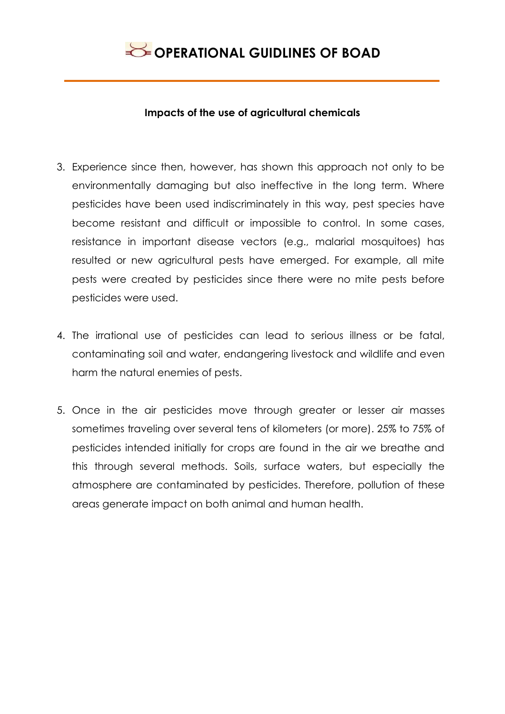

#### **Impacts of the use of agricultural chemicals**

- 3. Experience since then, however, has shown this approach not only to be environmentally damaging but also ineffective in the long term. Where pesticides have been used indiscriminately in this way, pest species have become resistant and difficult or impossible to control. In some cases, resistance in important disease vectors (e.g., malarial mosquitoes) has resulted or new agricultural pests have emerged. For example, all mite pests were created by pesticides since there were no mite pests before pesticides were used.
- 4. The irrational use of pesticides can lead to serious illness or be fatal, contaminating soil and water, endangering livestock and wildlife and even harm the natural enemies of pests.
- 5. Once in the air pesticides move through greater or lesser air masses sometimes traveling over several tens of kilometers (or more). 25% to 75% of pesticides intended initially for crops are found in the air we breathe and this through several methods. Soils, surface waters, but especially the atmosphere are contaminated by pesticides. Therefore, pollution of these areas generate impact on both animal and human health.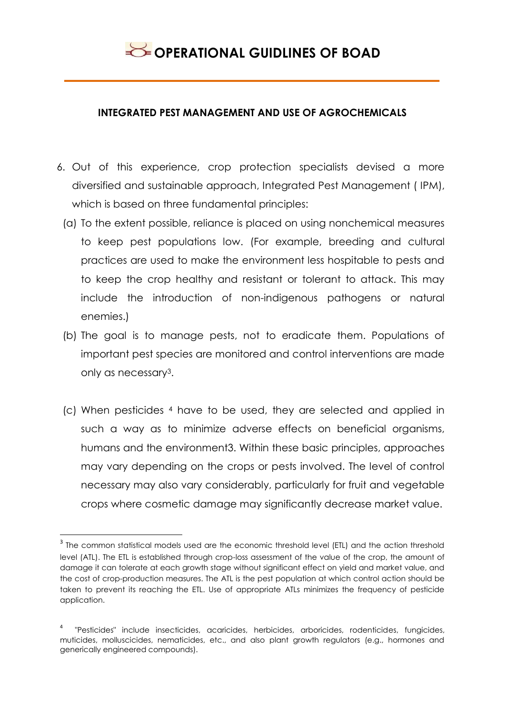### **INTEGRATED PEST MANAGEMENT AND USE OF AGROCHEMICALS**

- 6. Out of this experience, crop protection specialists devised a more diversified and sustainable approach, Integrated Pest Management ( IPM), which is based on three fundamental principles:
	- (a) To the extent possible, reliance is placed on using nonchemical measures to keep pest populations low. (For example, breeding and cultural practices are used to make the environment less hospitable to pests and to keep the crop healthy and resistant or tolerant to attack. This may include the introduction of non-indigenous pathogens or natural enemies.)
	- (b) The goal is to manage pests, not to eradicate them. Populations of important pest species are monitored and control interventions are made only as necessary3.
	- (c) When pesticides <sup>4</sup> have to be used, they are selected and applied in such a way as to minimize adverse effects on beneficial organisms, humans and the environment3. Within these basic principles, approaches may vary depending on the crops or pests involved. The level of control necessary may also vary considerably, particularly for fruit and vegetable crops where cosmetic damage may significantly decrease market value.

1

 $^{\text{3}}$  The common statistical models used are the economic threshold level (ETL) and the action threshold level (ATL). The ETL is established through crop-loss assessment of the value of the crop, the amount of damage it can tolerate at each growth stage without significant effect on yield and market value, and the cost of crop-production measures. The ATL is the pest population at which control action should be taken to prevent its reaching the ETL. Use of appropriate ATLs minimizes the frequency of pesticide application.

<sup>4</sup> "Pesticides" include insecticides, acaricides, herbicides, arboricides, rodenticides, fungicides, muticides, molluscicides, nematicides, etc., and also plant growth regulators (e.g., hormones and generically engineered compounds).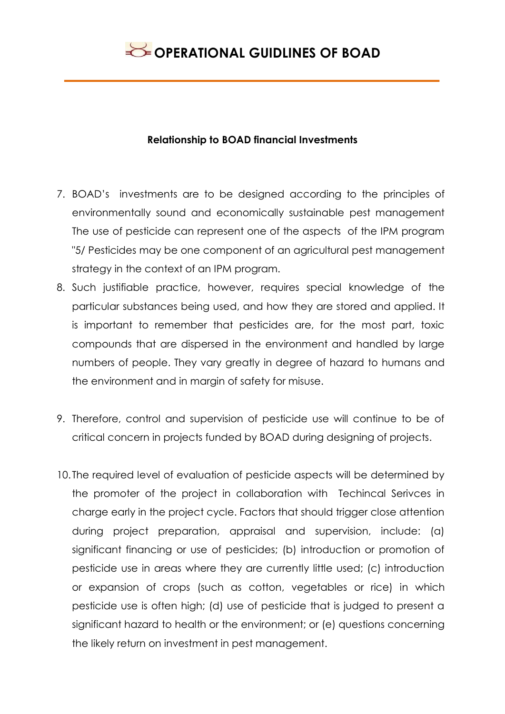### **Relationship to BOAD financial Investments**

- 7. BOAD's investments are to be designed according to the principles of environmentally sound and economically sustainable pest management The use of pesticide can represent one of the aspects of the IPM program "5/ Pesticides may be one component of an agricultural pest management strategy in the context of an IPM program.
- 8. Such justifiable practice, however, requires special knowledge of the particular substances being used, and how they are stored and applied. It is important to remember that pesticides are, for the most part, toxic compounds that are dispersed in the environment and handled by large numbers of people. They vary greatly in degree of hazard to humans and the environment and in margin of safety for misuse.
- 9. Therefore, control and supervision of pesticide use will continue to be of critical concern in projects funded by BOAD during designing of projects.
- 10. The required level of evaluation of pesticide aspects will be determined by the promoter of the project in collaboration with Techincal Serivces in charge early in the project cycle. Factors that should trigger close attention during project preparation, appraisal and supervision, include: (a) significant financing or use of pesticides; (b) introduction or promotion of pesticide use in areas where they are currently little used; (c) introduction or expansion of crops (such as cotton, vegetables or rice) in which pesticide use is often high; (d) use of pesticide that is judged to present a significant hazard to health or the environment; or (e) questions concerning the likely return on investment in pest management.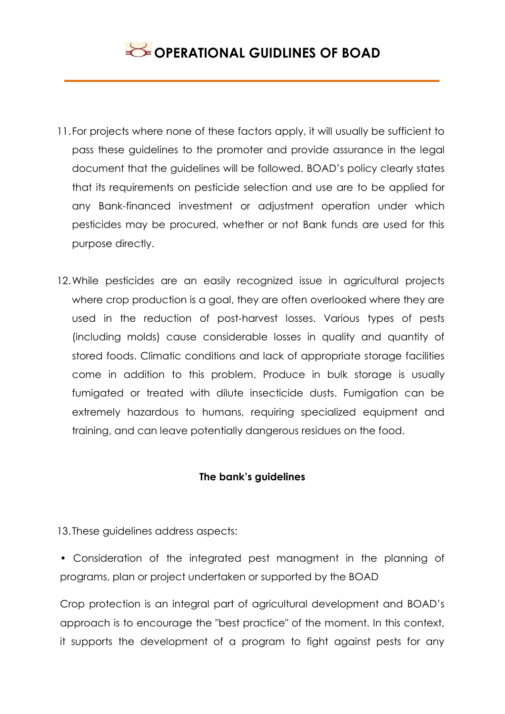- 11.For projects where none of these factors apply, it will usually be sufficient to pass these guidelines to the promoter and provide assurance in the legal document that the guidelines will be followed. BOAD's policy clearly states that its requirements on pesticide selection and use are to be applied for any Bank-financed investment or adjustment operation under which pesticides may be procured, whether or not Bank funds are used for this purpose directly.
- 12.While pesticides are an easily recognized issue in agricultural projects where crop production is a goal, they are often overlooked where they are used in the reduction of post-harvest losses. Various types of pests (including molds) cause considerable losses in quality and quantity of stored foods. Climatic conditions and lack of appropriate storage facilities come in addition to this problem. Produce in bulk storage is usually fumigated or treated with dilute insecticide dusts. Fumigation can be extremely hazardous to humans, requiring specialized equipment and training, and can leave potentially dangerous residues on the food.

### **The bank's guidelines**

13. These guidelines address aspects:

• Consideration of the integrated pest managment in the planning of programs, plan or project undertaken or supported by the BOAD

Crop protection is an integral part of agricultural development and BOAD's approach is to encourage the "best practice" of the moment. In this context, it supports the development of a program to fight against pests for any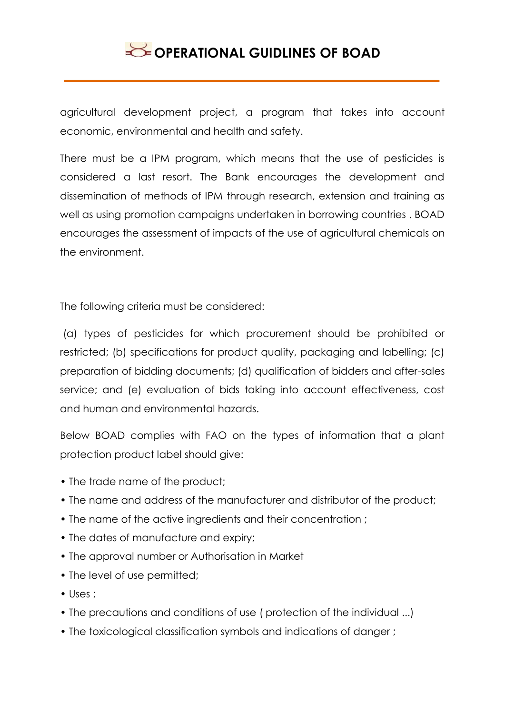agricultural development project, a program that takes into account economic, environmental and health and safety.

There must be a IPM program, which means that the use of pesticides is considered a last resort. The Bank encourages the development and dissemination of methods of IPM through research, extension and training as well as using promotion campaigns undertaken in borrowing countries . BOAD encourages the assessment of impacts of the use of agricultural chemicals on the environment.

The following criteria must be considered:

(a) types of pesticides for which procurement should be prohibited or restricted; (b) specifications for product quality, packaging and labelling; (c) preparation of bidding documents; (d) qualification of bidders and after-sales service; and (e) evaluation of bids taking into account effectiveness, cost and human and environmental hazards.

Below BOAD complies with FAO on the types of information that a plant protection product label should give:

- The trade name of the product;
- The name and address of the manufacturer and distributor of the product;
- The name of the active ingredients and their concentration ;
- The dates of manufacture and expiry;
- The approval number or Authorisation in Market
- The level of use permitted;
- Uses ;
- The precautions and conditions of use ( protection of the individual ...)
- The toxicological classification symbols and indications of danger ;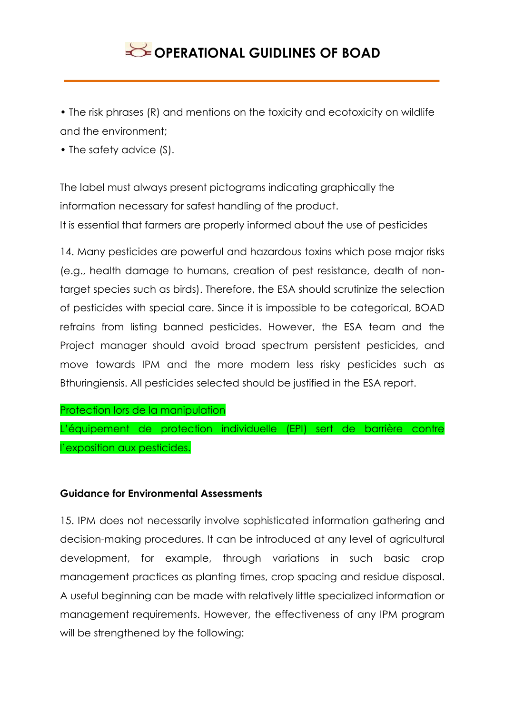• The risk phrases (R) and mentions on the toxicity and ecotoxicity on wildlife and the environment;

• The safety advice (S).

The label must always present pictograms indicating graphically the information necessary for safest handling of the product. It is essential that farmers are properly informed about the use of pesticides

14. Many pesticides are powerful and hazardous toxins which pose major risks (e.g., health damage to humans, creation of pest resistance, death of nontarget species such as birds). Therefore, the ESA should scrutinize the selection of pesticides with special care. Since it is impossible to be categorical, BOAD refrains from listing banned pesticides. However, the ESA team and the Project manager should avoid broad spectrum persistent pesticides, and move towards IPM and the more modern less risky pesticides such as Bthuringiensis. All pesticides selected should be justified in the ESA report.

Protection lors de la manipulation

L'équipement de protection individuelle (EPI) sert de barrière contre l'exposition aux pesticides.

## **Guidance for Environmental Assessments**

15. IPM does not necessarily involve sophisticated information gathering and decision-making procedures. It can be introduced at any level of agricultural development, for example, through variations in such basic crop management practices as planting times, crop spacing and residue disposal. A useful beginning can be made with relatively little specialized information or management requirements. However, the effectiveness of any IPM program will be strengthened by the following: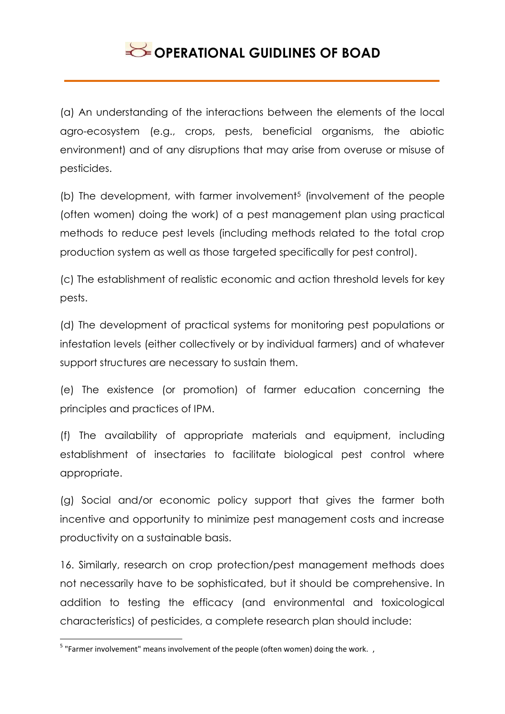(a) An understanding of the interactions between the elements of the local agro-ecosystem (e.g., crops, pests, beneficial organisms, the abiotic environment) and of any disruptions that may arise from overuse or misuse of pesticides.

(b) The development, with farmer involvement<sup>5</sup> (involvement of the people (often women) doing the work) of a pest management plan using practical methods to reduce pest levels (including methods related to the total crop production system as well as those targeted specifically for pest control).

(c) The establishment of realistic economic and action threshold levels for key pests.

(d) The development of practical systems for monitoring pest populations or infestation levels (either collectively or by individual farmers) and of whatever support structures are necessary to sustain them.

(e) The existence (or promotion) of farmer education concerning the principles and practices of IPM.

(f) The availability of appropriate materials and equipment, including establishment of insectaries to facilitate biological pest control where appropriate.

(g) Social and/or economic policy support that gives the farmer both incentive and opportunity to minimize pest management costs and increase productivity on a sustainable basis.

16. Similarly, research on crop protection/pest management methods does not necessarily have to be sophisticated, but it should be comprehensive. In addition to testing the efficacy (and environmental and toxicological characteristics) of pesticides, a complete research plan should include:

 5 "Farmer involvement" means involvement of the people (often women) doing the work. ,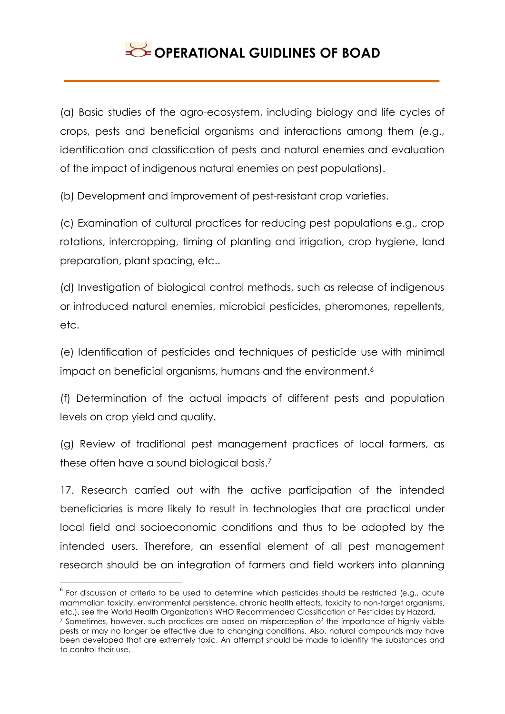(a) Basic studies of the agro-ecosystem, including biology and life cycles of crops, pests and beneficial organisms and interactions among them (e.g., identification and classification of pests and natural enemies and evaluation of the impact of indigenous natural enemies on pest populations).

(b) Development and improvement of pest-resistant crop varieties.

(c) Examination of cultural practices for reducing pest populations e.g., crop rotations, intercropping, timing of planting and irrigation, crop hygiene, land preparation, plant spacing, etc..

(d) Investigation of biological control methods, such as release of indigenous or introduced natural enemies, microbial pesticides, pheromones, repellents, etc.

(e) Identification of pesticides and techniques of pesticide use with minimal impact on beneficial organisms, humans and the environment.<sup>6</sup>

(f) Determination of the actual impacts of different pests and population levels on crop yield and quality.

(g) Review of traditional pest management practices of local farmers, as these often have a sound biological basis.<sup>7</sup>

17. Research carried out with the active participation of the intended beneficiaries is more likely to result in technologies that are practical under local field and socioeconomic conditions and thus to be adopted by the intended users. Therefore, an essential element of all pest management research should be an integration of farmers and field workers into planning

1

 $^6$  For discussion of criteria to be used to determine which pesticides should be restricted (e.g., acute mammalian toxicity, environmental persistence, chronic health effects, toxicity to non-target organisms, etc.), see the World Health Organization's WHO Recommended Classification of Pesticides by Hazard.

<sup>&</sup>lt;sup>7</sup> Sometimes, however, such practices are based on misperception of the importance of highly visible pests or may no longer be effective due to changing conditions. Also, natural compounds may have been developed that are extremely toxic. An attempt should be made to identify the substances and to control their use.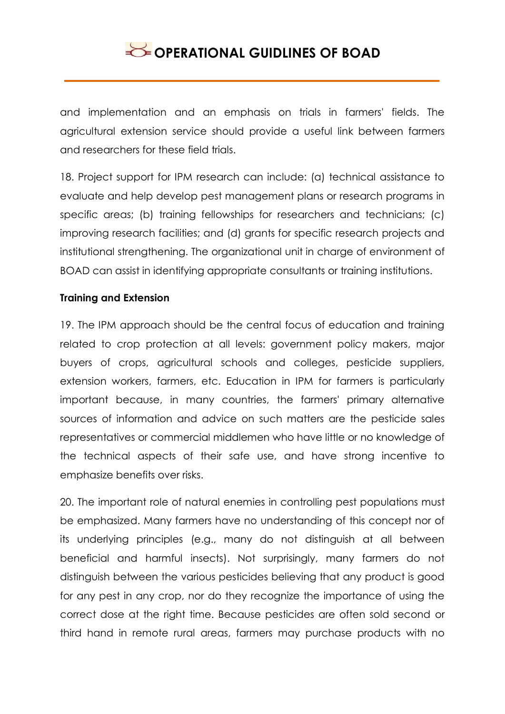and implementation and an emphasis on trials in farmers' fields. The agricultural extension service should provide a useful link between farmers and researchers for these field trials.

18. Project support for IPM research can include: (a) technical assistance to evaluate and help develop pest management plans or research programs in specific areas; (b) training fellowships for researchers and technicians; (c) improving research facilities; and (d) grants for specific research projects and institutional strengthening. The organizational unit in charge of environment of BOAD can assist in identifying appropriate consultants or training institutions.

### **Training and Extension**

19. The IPM approach should be the central focus of education and training related to crop protection at all levels: government policy makers, major buyers of crops, agricultural schools and colleges, pesticide suppliers, extension workers, farmers, etc. Education in IPM for farmers is particularly important because, in many countries, the farmers' primary alternative sources of information and advice on such matters are the pesticide sales representatives or commercial middlemen who have little or no knowledge of the technical aspects of their safe use, and have strong incentive to emphasize benefits over risks.

20. The important role of natural enemies in controlling pest populations must be emphasized. Many farmers have no understanding of this concept nor of its underlying principles (e.g., many do not distinguish at all between beneficial and harmful insects). Not surprisingly, many farmers do not distinguish between the various pesticides believing that any product is good for any pest in any crop, nor do they recognize the importance of using the correct dose at the right time. Because pesticides are often sold second or third hand in remote rural areas, farmers may purchase products with no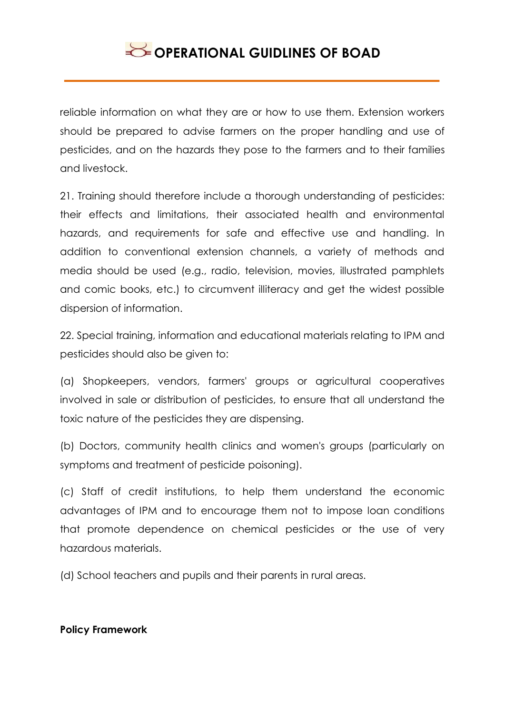reliable information on what they are or how to use them. Extension workers should be prepared to advise farmers on the proper handling and use of pesticides, and on the hazards they pose to the farmers and to their families and livestock.

21. Training should therefore include a thorough understanding of pesticides: their effects and limitations, their associated health and environmental hazards, and requirements for safe and effective use and handling. In addition to conventional extension channels, a variety of methods and media should be used (e.g., radio, television, movies, illustrated pamphlets and comic books, etc.) to circumvent illiteracy and get the widest possible dispersion of information.

22. Special training, information and educational materials relating to IPM and pesticides should also be given to:

(a) Shopkeepers, vendors, farmers' groups or agricultural cooperatives involved in sale or distribution of pesticides, to ensure that all understand the toxic nature of the pesticides they are dispensing.

(b) Doctors, community health clinics and women's groups (particularly on symptoms and treatment of pesticide poisoning).

(c) Staff of credit institutions, to help them understand the economic advantages of IPM and to encourage them not to impose loan conditions that promote dependence on chemical pesticides or the use of very hazardous materials.

(d) School teachers and pupils and their parents in rural areas.

#### **Policy Framework**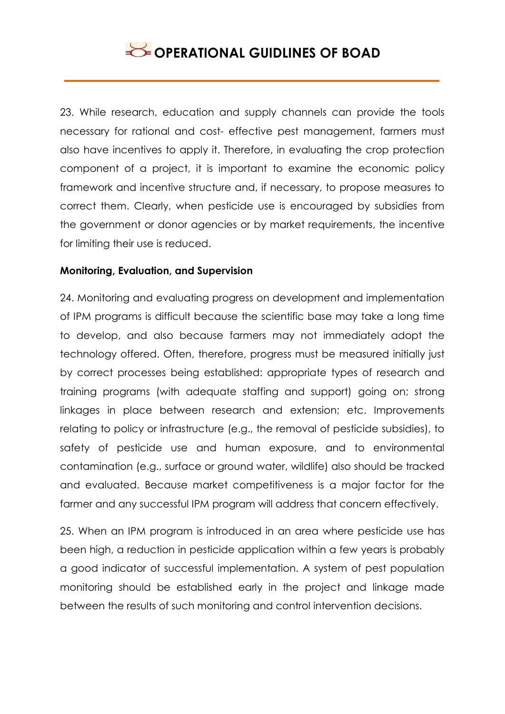23. While research, education and supply channels can provide the tools necessary for rational and cost- effective pest management, farmers must also have incentives to apply it. Therefore, in evaluating the crop protection component of a project, it is important to examine the economic policy framework and incentive structure and, if necessary, to propose measures to correct them. Clearly, when pesticide use is encouraged by subsidies from the government or donor agencies or by market requirements, the incentive for limiting their use is reduced.

### **Monitoring, Evaluation, and Supervision**

24. Monitoring and evaluating progress on development and implementation of IPM programs is difficult because the scientific base may take a long time to develop, and also because farmers may not immediately adopt the technology offered. Often, therefore, progress must be measured initially just by correct processes being established: appropriate types of research and training programs (with adequate staffing and support) going on; strong linkages in place between research and extension; etc. Improvements relating to policy or infrastructure (e.g., the removal of pesticide subsidies), to safety of pesticide use and human exposure, and to environmental contamination (e.g., surface or ground water, wildlife) also should be tracked and evaluated. Because market competitiveness is a major factor for the farmer and any successful IPM program will address that concern effectively.

25. When an IPM program is introduced in an area where pesticide use has been high, a reduction in pesticide application within a few years is probably a good indicator of successful implementation. A system of pest population monitoring should be established early in the project and linkage made between the results of such monitoring and control intervention decisions.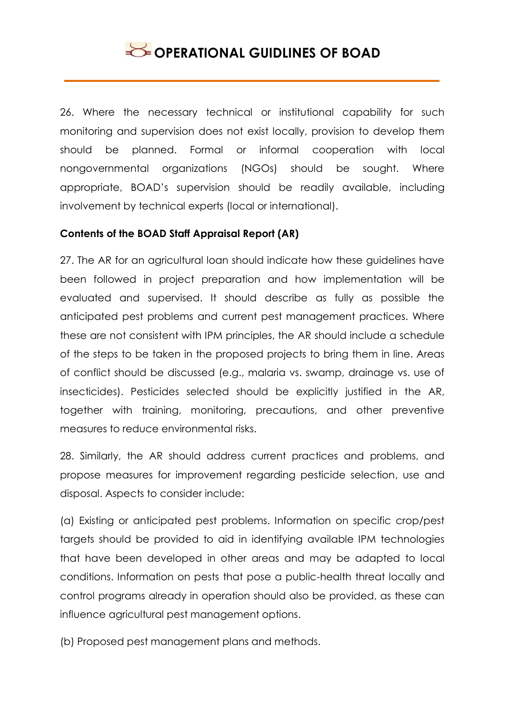26. Where the necessary technical or institutional capability for such monitoring and supervision does not exist locally, provision to develop them should be planned. Formal or informal cooperation with local nongovernmental organizations (NGOs) should be sought. Where appropriate, BOAD's supervision should be readily available, including involvement by technical experts (local or international).

### **Contents of the BOAD Staff Appraisal Report (AR)**

27. The AR for an agricultural loan should indicate how these guidelines have been followed in project preparation and how implementation will be evaluated and supervised. It should describe as fully as possible the anticipated pest problems and current pest management practices. Where these are not consistent with IPM principles, the AR should include a schedule of the steps to be taken in the proposed projects to bring them in line. Areas of conflict should be discussed (e.g., malaria vs. swamp, drainage vs. use of insecticides). Pesticides selected should be explicitly justified in the AR, together with training, monitoring, precautions, and other preventive measures to reduce environmental risks.

28. Similarly, the AR should address current practices and problems, and propose measures for improvement regarding pesticide selection, use and disposal. Aspects to consider include:

(a) Existing or anticipated pest problems. Information on specific crop/pest targets should be provided to aid in identifying available IPM technologies that have been developed in other areas and may be adapted to local conditions. Information on pests that pose a public-health threat locally and control programs already in operation should also be provided, as these can influence agricultural pest management options.

(b) Proposed pest management plans and methods.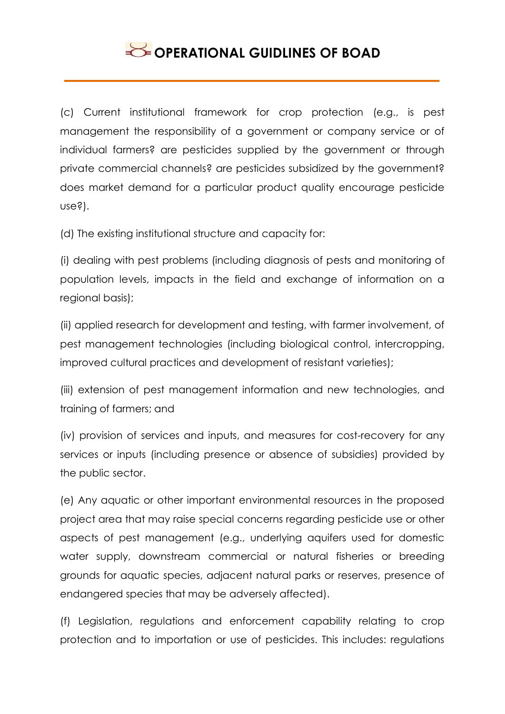(c) Current institutional framework for crop protection (e.g., is pest management the responsibility of a government or company service or of individual farmers? are pesticides supplied by the government or through private commercial channels? are pesticides subsidized by the government? does market demand for a particular product quality encourage pesticide use?).

(d) The existing institutional structure and capacity for:

(i) dealing with pest problems (including diagnosis of pests and monitoring of population levels, impacts in the field and exchange of information on a regional basis);

(ii) applied research for development and testing, with farmer involvement, of pest management technologies (including biological control, intercropping, improved cultural practices and development of resistant varieties);

(iii) extension of pest management information and new technologies, and training of farmers; and

(iv) provision of services and inputs, and measures for cost-recovery for any services or inputs (including presence or absence of subsidies) provided by the public sector.

(e) Any aquatic or other important environmental resources in the proposed project area that may raise special concerns regarding pesticide use or other aspects of pest management (e.g., underlying aquifers used for domestic water supply, downstream commercial or natural fisheries or breeding grounds for aquatic species, adjacent natural parks or reserves, presence of endangered species that may be adversely affected).

(f) Legislation, regulations and enforcement capability relating to crop protection and to importation or use of pesticides. This includes: regulations